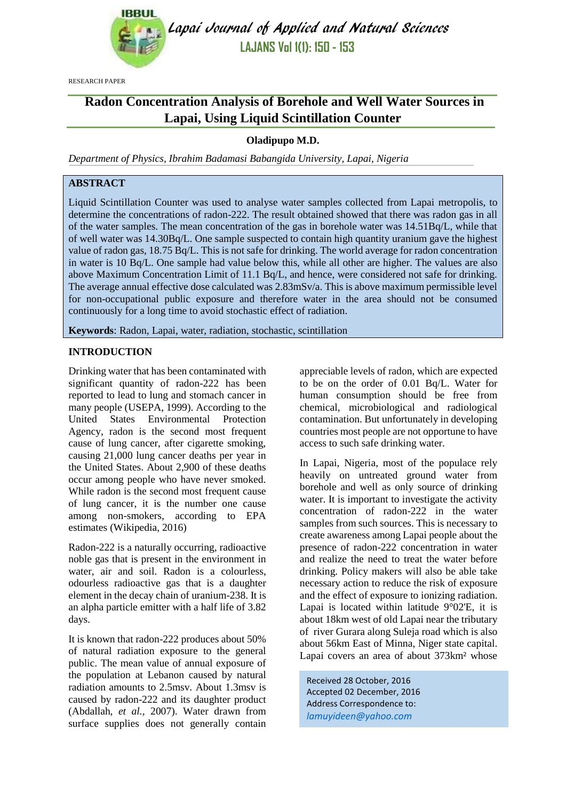

Lapai Journal of Applied and Natural Sciences **LAJANS Vol 1(1): 150 - 153**

RESEARCH PAPER

# **Radon Concentration Analysis of Borehole and Well Water Sources in Lapai, Using Liquid Scintillation Counter**

# **Oladipupo M.D.**

*Department of Physics, Ibrahim Badamasi Babangida University, Lapai, Nigeria*

# **ABSTRACT**

Liquid Scintillation Counter was used to analyse water samples collected from Lapai metropolis, to determine the concentrations of radon-222. The result obtained showed that there was radon gas in all of the water samples. The mean concentration of the gas in borehole water was 14.51Bq/L, while that of well water was 14.30Bq/L. One sample suspected to contain high quantity uranium gave the highest value of radon gas, 18.75 Bq/L. This is not safe for drinking. The world average for radon concentration in water is 10 Bq/L. One sample had value below this, while all other are higher. The values are also above Maximum Concentration Limit of 11.1 Bq/L, and hence, were considered not safe for drinking. The average annual effective dose calculated was 2.83mSv/a. This is above maximum permissible level for non-occupational public exposure and therefore water in the area should not be consumed continuously for a long time to avoid stochastic effect of radiation.

**Keywords**: Radon, Lapai, water, radiation, stochastic, scintillation

#### **INTRODUCTION**

Drinking water that has been contaminated with significant quantity of radon-222 has been reported to lead to lung and stomach cancer in many people (USEPA, 1999). According to the United States Environmental Protection Agency, radon is the second most frequent cause of lung cancer, after cigarette smoking, causing 21,000 lung cancer deaths per year in the United States. About 2,900 of these deaths occur among people who have never smoked. While radon is the second most frequent cause of lung cancer, it is the number one cause among non-smokers, according to EPA estimates (Wikipedia, 2016)

Radon-222 is a naturally occurring, radioactive noble gas that is present in the environment in water, air and soil. Radon is a colourless, odourless radioactive gas that is a daughter element in the decay chain of uranium-238. It is an alpha particle emitter with a half life of 3.82 days.

It is known that radon-222 produces about 50% of natural radiation exposure to the general public. The mean value of annual exposure of the population at Lebanon caused by natural radiation amounts to 2.5msv. About 1.3msv is caused by radon-222 and its daughter product (Abdallah, *et al.,* 2007). Water drawn from surface supplies does not generally contain appreciable levels of radon, which are expected to be on the order of 0.01 Bq/L. Water for human consumption should be free from chemical, microbiological and radiological contamination. But unfortunately in developing countries most people are not opportune to have access to such safe drinking water.

In Lapai, Nigeria, most of the populace rely heavily on untreated ground water from borehole and well as only source of drinking water. It is important to investigate the activity concentration of radon-222 in the water samples from such sources. This is necessary to create awareness among Lapai people about the presence of radon-222 concentration in water and realize the need to treat the water before drinking. Policy makers will also be able take necessary action to reduce the risk of exposure and the effect of exposure to ionizing radiation. Lapai is located within latitude 9°02'E, it is about 18km west of old Lapai near the tributary of river Gurara along Suleja road which is also about 56km East of Minna, Niger state capital. Lapai covers an area of about 373km<sup>2</sup> whose

Received 28 October, 2016 Accepted 02 December, 2016 Address Correspondence to: *[lamuyideen@yahoo.com](mailto:lamuyideen@yahoo.com)*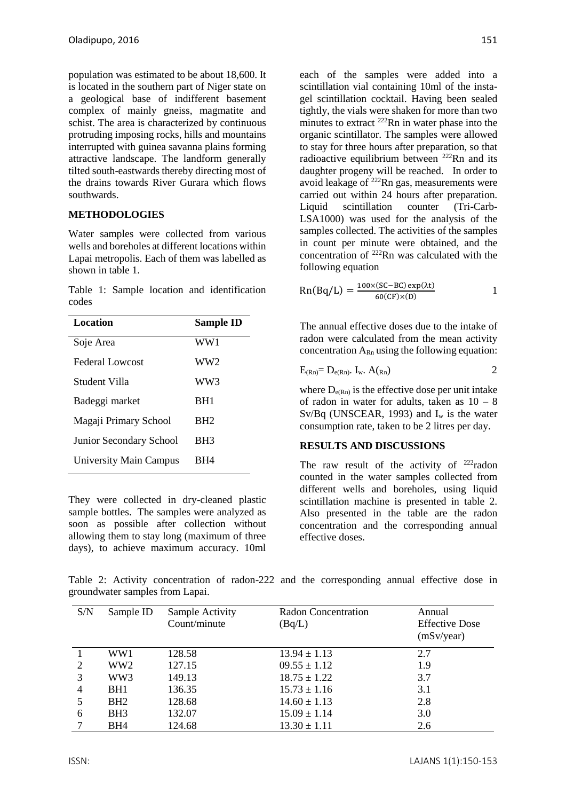population was estimated to be about 18,600. It is located in the southern part of Niger state on a geological base of indifferent basement complex of mainly gneiss, magmatite and schist. The area is characterized by continuous protruding imposing rocks, hills and mountains interrupted with guinea savanna plains forming attractive landscape. The landform generally tilted south-eastwards thereby directing most of the drains towards River Gurara which flows southwards.

#### **METHODOLOGIES**

Water samples were collected from various wells and boreholes at different locations within Lapai metropolis. Each of them was labelled as shown in table 1.

Table 1: Sample location and identification codes

| Location                | <b>Sample ID</b> |  |
|-------------------------|------------------|--|
| Soje Area               | WW1              |  |
| Federal Lowcost         | WW2              |  |
| Student Villa           | WW3              |  |
| Badeggi market          | BH1              |  |
| Magaji Primary School   | BH <sub>2</sub>  |  |
| Junior Secondary School | BH <sub>3</sub>  |  |
| University Main Campus  | BH4              |  |

They were collected in dry-cleaned plastic sample bottles. The samples were analyzed as soon as possible after collection without allowing them to stay long (maximum of three days), to achieve maximum accuracy. 10ml

each of the samples were added into a scintillation vial containing 10ml of the instagel scintillation cocktail. Having been sealed tightly, the vials were shaken for more than two minutes to extract <sup>222</sup>Rn in water phase into the organic scintillator. The samples were allowed to stay for three hours after preparation, so that radioactive equilibrium between  $^{222}$ Rn and its daughter progeny will be reached. In order to avoid leakage of <sup>222</sup>Rn gas, measurements were carried out within 24 hours after preparation. Liquid scintillation counter (Tri-Carb-LSA1000) was used for the analysis of the samples collected. The activities of the samples in count per minute were obtained, and the concentration of <sup>222</sup>Rn was calculated with the following equation

$$
Rn(Bq/L) = \frac{100 \times (SC - BC) \exp(\lambda t)}{60 (CF) \times (D)} \tag{1}
$$

The annual effective doses due to the intake of radon were calculated from the mean activity concentration  $A_{Rn}$  using the following equation:

$$
E_{(Rn)}=D_{e(Rn)}.\ I_w.\ A_{(Rn)}\tag{2}
$$

where  $D_{e(Rn)}$  is the effective dose per unit intake of radon in water for adults, taken as  $10 - 8$ Sv/Bq (UNSCEAR, 1993) and  $I_w$  is the water consumption rate, taken to be 2 litres per day.

#### **RESULTS AND DISCUSSIONS**

The raw result of the activity of  $222$  radon counted in the water samples collected from different wells and boreholes, using liquid scintillation machine is presented in table 2. Also presented in the table are the radon concentration and the corresponding annual effective doses.

Table 2: Activity concentration of radon-222 and the corresponding annual effective dose in groundwater samples from Lapai.

| S/N            | Sample ID       | Sample Activity<br>Count/minute | Radon Concentration<br>(Bq/L) | Annual<br><b>Effective Dose</b><br>(mSv/year) |
|----------------|-----------------|---------------------------------|-------------------------------|-----------------------------------------------|
|                | WW1             | 128.58                          | $13.94 \pm 1.13$              | 2.7                                           |
| 2              | WW <sub>2</sub> | 127.15                          | $09.55 \pm 1.12$              | 1.9                                           |
| 3              | WW3             | 149.13                          | $18.75 \pm 1.22$              | 3.7                                           |
| $\overline{4}$ | BH <sub>1</sub> | 136.35                          | $15.73 \pm 1.16$              | 3.1                                           |
|                | BH <sub>2</sub> | 128.68                          | $14.60 \pm 1.13$              | 2.8                                           |
| 6              | BH <sub>3</sub> | 132.07                          | $15.09 \pm 1.14$              | 3.0                                           |
|                | BH4             | 124.68                          | $13.30 \pm 1.11$              | 2.6                                           |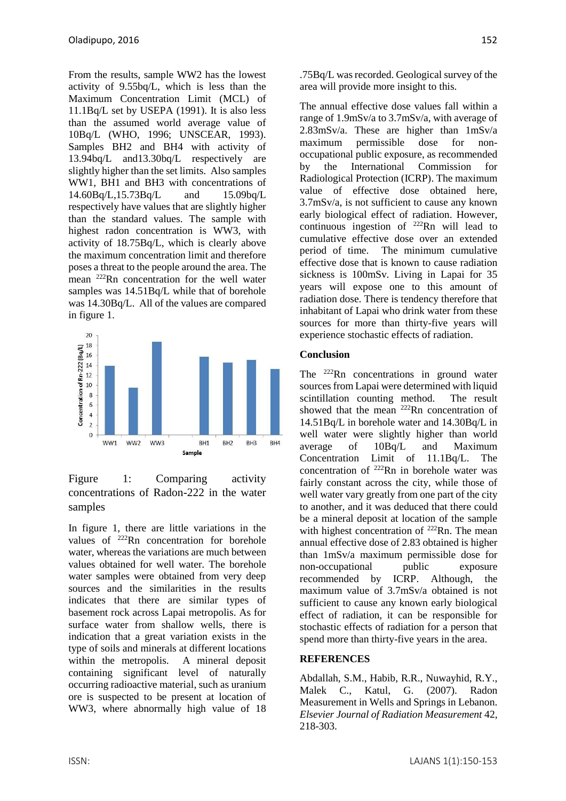From the results, sample WW2 has the lowest activity of 9.55bq/L, which is less than the Maximum Concentration Limit (MCL) of 11.1Bq/L set by USEPA (1991). It is also less than the assumed world average value of 10Bq/L (WHO, 1996; UNSCEAR, 1993). Samples BH2 and BH4 with activity of 13.94bq/L and13.30bq/L respectively are slightly higher than the set limits. Also samples WW1, BH1 and BH3 with concentrations of 14.60Bq/L,15.73Bq/L and 15.09bq/L respectively have values that are slightly higher than the standard values. The sample with highest radon concentration is WW3, with activity of 18.75Bq/L, which is clearly above the maximum concentration limit and therefore poses a threat to the people around the area. The mean <sup>222</sup>Rn concentration for the well water samples was 14.51Bq/L while that of borehole was 14.30Bq/L. All of the values are compared in figure 1.





In figure 1, there are little variations in the values of <sup>222</sup>Rn concentration for borehole water, whereas the variations are much between values obtained for well water. The borehole water samples were obtained from very deep sources and the similarities in the results indicates that there are similar types of basement rock across Lapai metropolis. As for surface water from shallow wells, there is indication that a great variation exists in the type of soils and minerals at different locations within the metropolis. A mineral deposit containing significant level of naturally occurring radioactive material, such as uranium ore is suspected to be present at location of WW3, where abnormally high value of 18 .75Bq/L was recorded. Geological survey of the area will provide more insight to this.

The annual effective dose values fall within a range of 1.9mSv/a to 3.7mSv/a, with average of 2.83mSv/a. These are higher than 1mSv/a maximum permissible dose for nonoccupational public exposure, as recommended by the International Commission for Radiological Protection (ICRP). The maximum value of effective dose obtained here, 3.7mSv/a, is not sufficient to cause any known early biological effect of radiation. However, continuous ingestion of  $^{222}$ Rn will lead to cumulative effective dose over an extended period of time. The minimum cumulative effective dose that is known to cause radiation sickness is 100mSv. Living in Lapai for 35 years will expose one to this amount of radiation dose. There is tendency therefore that inhabitant of Lapai who drink water from these sources for more than thirty-five years will experience stochastic effects of radiation.

# **Conclusion**

The  $222$ Rn concentrations in ground water sources from Lapai were determined with liquid scintillation counting method. The result showed that the mean <sup>222</sup>Rn concentration of 14.51Bq/L in borehole water and 14.30Bq/L in well water were slightly higher than world average of 10Bq/L and Maximum Concentration Limit of 11.1Bq/L. The concentration of <sup>222</sup>Rn in borehole water was fairly constant across the city, while those of well water vary greatly from one part of the city to another, and it was deduced that there could be a mineral deposit at location of the sample with highest concentration of <sup>222</sup>Rn. The mean annual effective dose of 2.83 obtained is higher than 1mSv/a maximum permissible dose for non-occupational public exposure recommended by ICRP. Although, the maximum value of 3.7mSv/a obtained is not sufficient to cause any known early biological effect of radiation, it can be responsible for stochastic effects of radiation for a person that spend more than thirty-five years in the area.

# **REFERENCES**

Abdallah, S.M., Habib, R.R., Nuwayhid, R.Y., Malek C., Katul, G. (2007). Radon Measurement in Wells and Springs in Lebanon. *Elsevier Journal of Radiation Measurement* 42, 218-303.